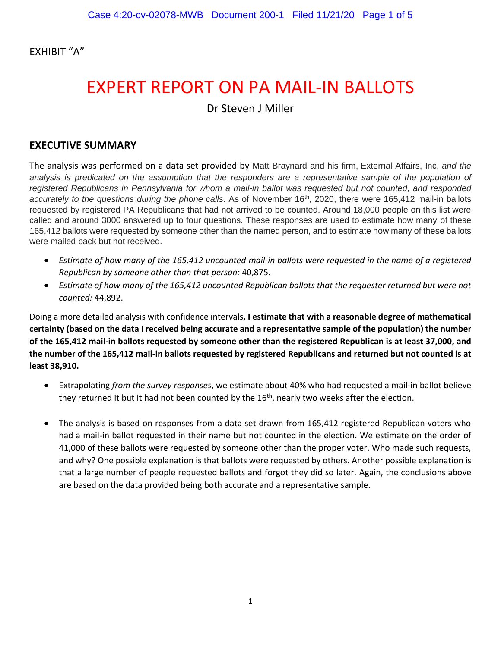EXHIBIT "A"

# EXPERT REPORT ON PA MAIL-IN BALLOTS Dr Steven J Miller

## **EXECUTIVE SUMMARY**

The analysis was performed on a data set provided by Matt Braynard and his firm, External Affairs, Inc, *and the*  analysis is predicated on the assumption that the responders are a representative sample of the population of *registered Republicans in Pennsylvania for whom a mail-in ballot was requested but not counted, and responded accurately to the questions during the phone calls*. As of November 16th, 2020, there were 165,412 mail-in ballots requested by registered PA Republicans that had not arrived to be counted. Around 18,000 people on this list were called and around 3000 answered up to four questions. These responses are used to estimate how many of these 165,412 ballots were requested by someone other than the named person, and to estimate how many of these ballots were mailed back but not received.

- *Estimate of how many of the 165,412 uncounted mail-in ballots were requested in the name of a registered Republican by someone other than that person:* 40,875.
- *Estimate of how many of the 165,412 uncounted Republican ballots that the requester returned but were not counted:* 44,892.

Doing a more detailed analysis with confidence intervals**, I estimate that with a reasonable degree of mathematical certainty (based on the data I received being accurate and a representative sample of the population) the number of the 165,412 mail-in ballots requested by someone other than the registered Republican is at least 37,000, and the number of the 165,412 mail-in ballots requested by registered Republicans and returned but not counted is at least 38,910.**

- Extrapolating *from the survey responses*, we estimate about 40% who had requested a mail-in ballot believe they returned it but it had not been counted by the 16<sup>th</sup>, nearly two weeks after the election.
- The analysis is based on responses from a data set drawn from 165,412 registered Republican voters who had a mail-in ballot requested in their name but not counted in the election. We estimate on the order of 41,000 of these ballots were requested by someone other than the proper voter. Who made such requests, and why? One possible explanation is that ballots were requested by others. Another possible explanation is that a large number of people requested ballots and forgot they did so later. Again, the conclusions above are based on the data provided being both accurate and a representative sample.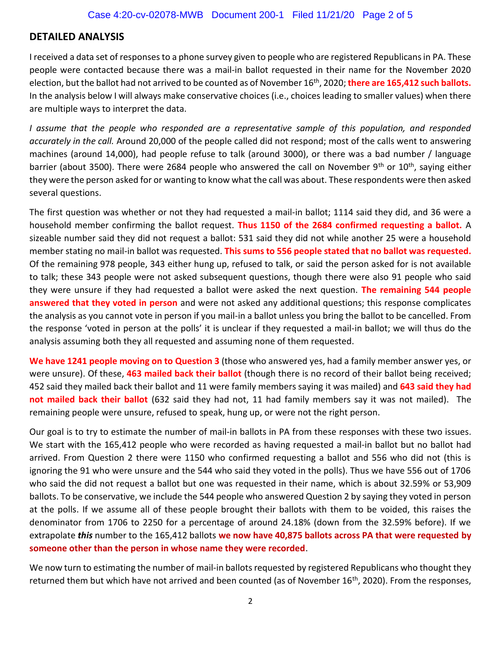## **DETAILED ANALYSIS**

I received a data set of responses to a phone survey given to people who are registered Republicans in PA. These people were contacted because there was a mail-in ballot requested in their name for the November 2020 election, but the ballot had not arrived to be counted as of November 16th, 2020; **there are 165,412 such ballots.** In the analysis below I will always make conservative choices (i.e., choices leading to smaller values) when there are multiple ways to interpret the data.

*I assume that the people who responded are a representative sample of this population, and responded accurately in the call.* Around 20,000 of the people called did not respond; most of the calls went to answering machines (around 14,000), had people refuse to talk (around 3000), or there was a bad number / language barrier (about 3500). There were 2684 people who answered the call on November 9<sup>th</sup> or 10<sup>th</sup>, saying either they were the person asked for or wanting to know what the call was about. These respondents were then asked several questions.

The first question was whether or not they had requested a mail-in ballot; 1114 said they did, and 36 were a household member confirming the ballot request. **Thus 1150 of the 2684 confirmed requesting a ballot.** A sizeable number said they did not request a ballot: 531 said they did not while another 25 were a household member stating no mail-in ballot was requested. **This sums to 556 people stated that no ballot was requested.** Of the remaining 978 people, 343 either hung up, refused to talk, or said the person asked for is not available to talk; these 343 people were not asked subsequent questions, though there were also 91 people who said they were unsure if they had requested a ballot were asked the next question. **The remaining 544 people answered that they voted in person** and were not asked any additional questions; this response complicates the analysis as you cannot vote in person if you mail-in a ballot unless you bring the ballot to be cancelled. From the response 'voted in person at the polls' it is unclear if they requested a mail-in ballot; we will thus do the analysis assuming both they all requested and assuming none of them requested.

**We have 1241 people moving on to Question 3** (those who answered yes, had a family member answer yes, or were unsure). Of these, **463 mailed back their ballot** (though there is no record of their ballot being received; 452 said they mailed back their ballot and 11 were family members saying it was mailed) and **643 said they had not mailed back their ballot** (632 said they had not, 11 had family members say it was not mailed). The remaining people were unsure, refused to speak, hung up, or were not the right person.

Our goal is to try to estimate the number of mail-in ballots in PA from these responses with these two issues. We start with the 165,412 people who were recorded as having requested a mail-in ballot but no ballot had arrived. From Question 2 there were 1150 who confirmed requesting a ballot and 556 who did not (this is ignoring the 91 who were unsure and the 544 who said they voted in the polls). Thus we have 556 out of 1706 who said the did not request a ballot but one was requested in their name, which is about 32.59% or 53,909 ballots. To be conservative, we include the 544 people who answered Question 2 by saying they voted in person at the polls. If we assume all of these people brought their ballots with them to be voided, this raises the denominator from 1706 to 2250 for a percentage of around 24.18% (down from the 32.59% before). If we extrapolate *this* number to the 165,412 ballots **we now have 40,875 ballots across PA that were requested by someone other than the person in whose name they were recorded**.

We now turn to estimating the number of mail-in ballots requested by registered Republicans who thought they returned them but which have not arrived and been counted (as of November 16<sup>th</sup>, 2020). From the responses,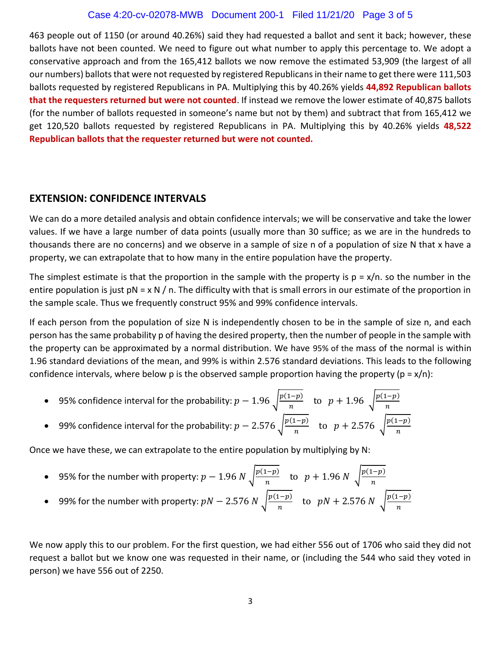#### Case 4:20-cv-02078-MWB Document 200-1 Filed 11/21/20 Page 3 of 5

463 people out of 1150 (or around 40.26%) said they had requested a ballot and sent it back; however, these ballots have not been counted. We need to figure out what number to apply this percentage to. We adopt a conservative approach and from the 165,412 ballots we now remove the estimated 53,909 (the largest of all our numbers) ballots that were not requested by registered Republicans in their name to get there were 111,503 ballots requested by registered Republicans in PA. Multiplying this by 40.26% yields **44,892 Republican ballots that the requesters returned but were not counted**. If instead we remove the lower estimate of 40,875 ballots (for the number of ballots requested in someone's name but not by them) and subtract that from 165,412 we get 120,520 ballots requested by registered Republicans in PA. Multiplying this by 40.26% yields **48,522 Republican ballots that the requester returned but were not counted.**

#### **EXTENSION: CONFIDENCE INTERVALS**

We can do a more detailed analysis and obtain confidence intervals; we will be conservative and take the lower values. If we have a large number of data points (usually more than 30 suffice; as we are in the hundreds to thousands there are no concerns) and we observe in a sample of size n of a population of size N that x have a property, we can extrapolate that to how many in the entire population have the property.

The simplest estimate is that the proportion in the sample with the property is  $p = x/n$ . so the number in the entire population is just  $pN = x N / n$ . The difficulty with that is small errors in our estimate of the proportion in the sample scale. Thus we frequently construct 95% and 99% confidence intervals.

If each person from the population of size N is independently chosen to be in the sample of size n, and each person has the same probability p of having the desired property, then the number of people in the sample with the property can be approximated by a normal distribution. We have 95% of the mass of the normal is within 1.96 standard deviations of the mean, and 99% is within 2.576 standard deviations. This leads to the following confidence intervals, where below p is the observed sample proportion having the property ( $p = x/n$ ):

- 95% confidence interval for the probability:  $p 1.96 \sqrt{\frac{p(1-p)}{n}}$  $\frac{(1-p)}{n}$  to  $p + 1.96 \sqrt{\frac{p(1-p)}{n}}$ n
- 99% confidence interval for the probability:  $p 2.576 \int \frac{p(1-p)}{p}$  $\frac{(p-1)p}{n}$  to  $p + 2.576 \sqrt{\frac{p(1-p)}{n}}$  $\boldsymbol{n}$

Once we have these, we can extrapolate to the entire population by multiplying by N:

- 95% for the number with property:  $p 1.96 N \sqrt{\frac{p(1-p)}{n}}$  $\frac{(1-p)}{n}$  to  $p + 1.96 N \sqrt{\frac{p(1-p)}{n}}$  $\boldsymbol{n}$
- 99% for the number with property:  $pN 2.576 N \sqrt{\frac{p(1-p)}{n}}$  $\frac{(1-p)}{n}$  to  $pN + 2.576 N \sqrt{\frac{p(1-p)}{n}}$  $\boldsymbol{n}$

We now apply this to our problem. For the first question, we had either 556 out of 1706 who said they did not request a ballot but we know one was requested in their name, or (including the 544 who said they voted in person) we have 556 out of 2250.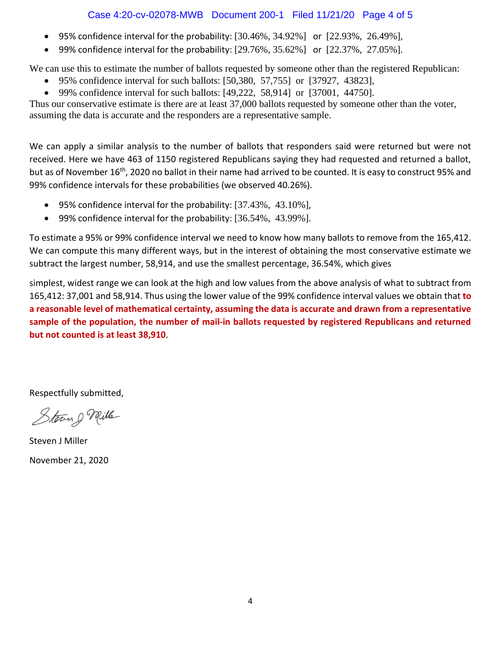### Case 4:20-cv-02078-MWB Document 200-1 Filed 11/21/20 Page 4 of 5

- 95% confidence interval for the probability:  $[30.46\%, 34.92\%]$  or  $[22.93\%, 26.49\%]$ ,
- 99% confidence interval for the probability:  $[29.76\%, 35.62\%]$  or  $[22.37\%, 27.05\%]$ .

We can use this to estimate the number of ballots requested by someone other than the registered Republican:

- 95% confidence interval for such ballots: [50,380, 57,755] or [37927, 43823],
- 99% confidence interval for such ballots:  $[49,222, 58,914]$  or  $[37001, 44750]$ .

Thus our conservative estimate is there are at least 37,000 ballots requested by someone other than the voter, assuming the data is accurate and the responders are a representative sample.

We can apply a similar analysis to the number of ballots that responders said were returned but were not received. Here we have 463 of 1150 registered Republicans saying they had requested and returned a ballot, but as of November 16<sup>th</sup>, 2020 no ballot in their name had arrived to be counted. It is easy to construct 95% and 99% confidence intervals for these probabilities (we observed 40.26%).

- 95% confidence interval for the probability: [37.43%, 43.10%],
- 99% confidence interval for the probability: [36.54%, 43.99%].

To estimate a 95% or 99% confidence interval we need to know how many ballots to remove from the 165,412. We can compute this many different ways, but in the interest of obtaining the most conservative estimate we subtract the largest number, 58,914, and use the smallest percentage, 36.54%, which gives

simplest, widest range we can look at the high and low values from the above analysis of what to subtract from 165,412: 37,001 and 58,914. Thus using the lower value of the 99% confidence interval values we obtain that **to a reasonable level of mathematical certainty, assuming the data is accurate and drawn from a representative sample of the population, the number of mail-in ballots requested by registered Republicans and returned but not counted is at least 38,910**.

Respectfully submitted,

Steven g Mille

Steven J Miller November 21, 2020